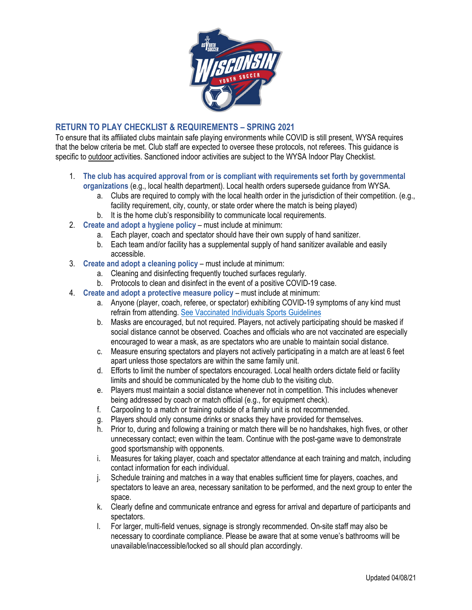

## **RETURN TO PLAY CHECKLIST & REQUIREMENTS – SPRING 2021**

To ensure that its affiliated clubs maintain safe playing environments while COVID is still present, WYSA requires that the below criteria be met. Club staff are expected to oversee these protocols, not referees. This guidance is specific to outdoor activities. Sanctioned indoor activities are subject to the WYSA Indoor Play Checklist.

- 1. **The club has acquired approval from or is compliant with requirements set forth by governmental organizations** (e.g., local health department). Local health orders supersede guidance from WYSA.
	- a. Clubs are required to comply with the local health order in the jurisdiction of their competition. (e.g., facility requirement, city, county, or state order where the match is being played)
	- b. It is the home club's responsibility to communicate local requirements.
- 2. **Create and adopt a hygiene policy** must include at minimum:
	- a. Each player, coach and spectator should have their own supply of hand sanitizer.
	- b. Each team and/or facility has a supplemental supply of hand sanitizer available and easily accessible.
- 3. **Create and adopt a cleaning policy** must include at minimum:
	- a. Cleaning and disinfecting frequently touched surfaces regularly.
	- b. Protocols to clean and disinfect in the event of a positive COVID-19 case.
- 4. **Create and adopt a protective measure policy** must include at minimum:
	- a. Anyone (player, coach, referee, or spectator) exhibiting COVID-19 symptoms of any kind must refrain from attending. [See Vaccinated Individuals Sports Guidelines](https://www.wiyouthsoccer.com/assets/75/6/Vaccinated_individuals_sports_guidelines.pdf)
	- b. Masks are encouraged, but not required. Players, not actively participating should be masked if social distance cannot be observed. Coaches and officials who are not vaccinated are especially encouraged to wear a mask, as are spectators who are unable to maintain social distance.
	- c. Measure ensuring spectators and players not actively participating in a match are at least 6 feet apart unless those spectators are within the same family unit.
	- d. Efforts to limit the number of spectators encouraged. Local health orders dictate field or facility limits and should be communicated by the home club to the visiting club.
	- e. Players must maintain a social distance whenever not in competition. This includes whenever being addressed by coach or match official (e.g., for equipment check).
	- f. Carpooling to a match or training outside of a family unit is not recommended.
	- g. Players should only consume drinks or snacks they have provided for themselves.
	- h. Prior to, during and following a training or match there will be no handshakes, high fives, or other unnecessary contact; even within the team. Continue with the post-game wave to demonstrate good sportsmanship with opponents.
	- i. Measures for taking player, coach and spectator attendance at each training and match, including contact information for each individual.
	- j. Schedule training and matches in a way that enables sufficient time for players, coaches, and spectators to leave an area, necessary sanitation to be performed, and the next group to enter the space.
	- k. Clearly define and communicate entrance and egress for arrival and departure of participants and spectators.
	- l. For larger, multi-field venues, signage is strongly recommended. On-site staff may also be necessary to coordinate compliance. Please be aware that at some venue's bathrooms will be unavailable/inaccessible/locked so all should plan accordingly.